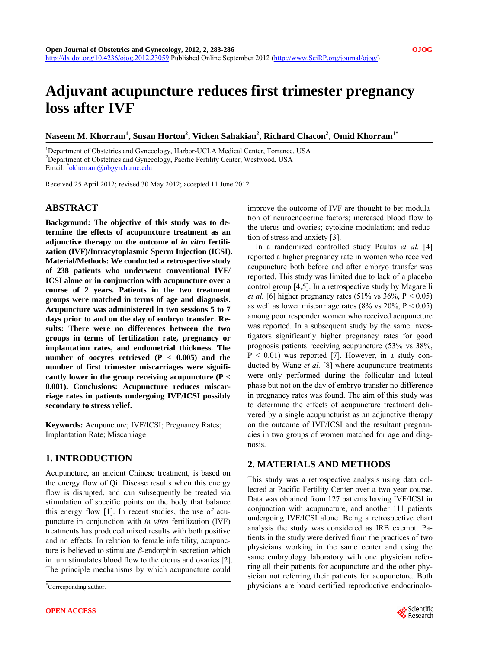# **Adjuvant acupuncture reduces first trimester pregnancy loss after IVF**

 $N$ aseem M. Khorram<sup>1</sup>, Susan Horton<sup>2</sup>, Vicken Sahakian<sup>2</sup>, Richard Chacon<sup>2</sup>, Omid Khorram<sup>1\*</sup>

<sup>1</sup>Department of Obstetrics and Gynecology, Harbor-UCLA Medical Center, Torrance, USA<br><sup>2</sup>Department of Obstatrics and Gynecology, Bosific Fertility Center, Westwood, USA <sup>2</sup>Department of Obstetrics and Gynecology, Pacific Fertility Center, Westwood, USA Email: <u>\*[okhorram@obgyn.humc.edu](mailto:okhorram@obgyn.humc.edu)</u>

Received 25 April 2012; revised 30 May 2012; accepted 11 June 2012

### **ABSTRACT**

**Background: The objective of this study was to determine the effects of acupuncture treatment as an**  adjunctive therapy on the outcome of *in vitro* fertili**zation (IVF)/Intracytoplasmic Sperm Injection (ICSI). Material/Methods: We conducted a retrospective study of 238 patients who underwent conventional IVF/ ICSI alone or in conjunction with acupuncture over a course of 2 years. Patients in the two treatment groups were matched in terms of age and diagnosis. Acupuncture was administered in two sessions 5 to 7 days prior to and on the day of embryo transfer. Results: There were no differences between the two groups in terms of fertilization rate, pregnancy or implantation rates, and endometrial thickness. The**  number of oocytes retrieved  $(P < 0.005)$  and the **number of first trimester miscarriages were significantly lower in the group receiving acupuncture (P < 0.001). Conclusions: Acupuncture reduces miscarriage rates in patients undergoing IVF/ICSI possibly secondary to stress relief.** 

**Keywords:** Acupuncture; IVF/ICSI; Pregnancy Rates; Implantation Rate; Miscarriage

## **1. INTRODUCTION**

Acupuncture, an ancient Chinese treatment, is based on the energy flow of Qi. Disease results when this energy flow is disrupted, and can subsequently be treated via stimulation of specific points on the body that balance this energy flow [1]. In recent studies, the use of acupuncture in conjunction with *in vitro* fertilization (IVF) treatments has produced mixed results with both positive and no effects. In relation to female infertility, acupuncture is believed to stimulate *β*-endorphin secretion which in turn stimulates blood flow to the uterus and ovaries [2]. The principle mechanisms by which acupuncture could

improve the outcome of IVF are thought to be: modulation of neuroendocrine factors; increased blood flow to the uterus and ovaries; cytokine modulation; and reduction of stress and anxiety [3].

In a randomized controlled study Paulus *et al.* [4] reported a higher pregnancy rate in women who received acupuncture both before and after embryo transfer was reported. This study was limited due to lack of a placebo control group [4,5]. In a retrospective study by Magarelli *et al.* [6] higher pregnancy rates (51% vs  $36\%$ , P < 0.05) as well as lower miscarriage rates (8% vs  $20\%$ , P < 0.05) among poor responder women who received acupuncture was reported. In a subsequent study by the same investigators significantly higher pregnancy rates for good prognosis patients receiving acupuncture (53% vs 38%,  $P < 0.01$ ) was reported [7]. However, in a study conducted by Wang *et al.* [8] where acupuncture treatments were only performed during the follicular and luteal phase but not on the day of embryo transfer no difference in pregnancy rates was found. The aim of this study was to determine the effects of acupuncture treatment delivered by a single acupuncturist as an adjunctive therapy on the outcome of IVF/ICSI and the resultant pregnancies in two groups of women matched for age and diagnosis.

## **2. MATERIALS AND METHODS**

This study was a retrospective analysis using data collected at Pacific Fertility Center over a two year course. Data was obtained from 127 patients having IVF/ICSI in conjunction with acupuncture, and another 111 patients undergoing IVF/ICSI alone. Being a retrospective chart analysis the study was considered as IRB exempt. Patients in the study were derived from the practices of two physicians working in the same center and using the same embryology laboratory with one physician referring all their patients for acupuncture and the other physician not referring their patients for acupuncture. Both physicians are board certified reproductive endocrinolo- \*



Corresponding author.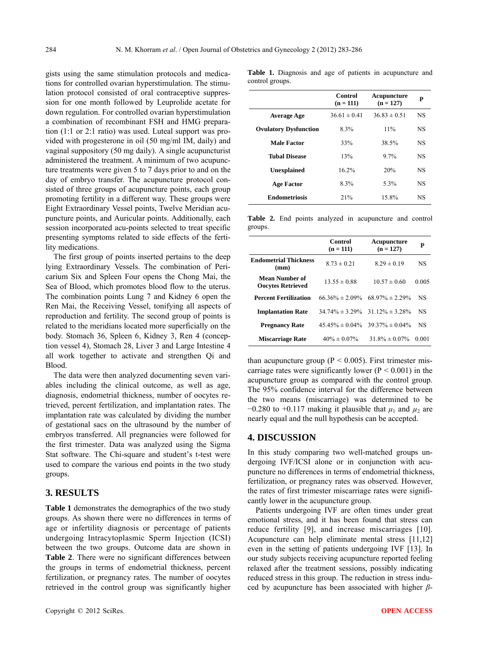gists using the same stimulation protocols and medications for controlled ovarian hyperstimulation. The stimulation protocol consisted of oral contraceptive suppression for one month followed by Leuprolide acetate for down regulation. For controlled ovarian hyperstimulation a combination of recombinant FSH and HMG preparation (1:1 or 2:1 ratio) was used. Luteal support was provided with progesterone in oil (50 mg/ml IM, daily) and vaginal suppository (50 mg daily). A single acupuncturist administered the treatment. A minimum of two acupuncture treatments were given 5 to 7 days prior to and on the day of embryo transfer. The acupuncture protocol consisted of three groups of acupuncture points, each group promoting fertility in a different way. These groups were Eight Extraordinary Vessel points, Twelve Meridian acupuncture points, and Auricular points. Additionally, each session incorporated acu-points selected to treat specific presenting symptoms related to side effects of the fertility medications.

The first group of points inserted pertains to the deep lying Extraordinary Vessels. The combination of Pericarium Six and Spleen Four opens the Chong Mai, the Sea of Blood, which promotes blood flow to the uterus. The combination points Lung 7 and Kidney 6 open the Ren Mai, the Receiving Vessel, tonifying all aspects of reproduction and fertility. The second group of points is related to the meridians located more superficially on the body. Stomach 36, Spleen 6, Kidney 3, Ren 4 (conception vessel 4), Stomach 28, Liver 3 and Large Intestine 4 all work together to activate and strengthen Qi and Blood.

The data were then analyzed documenting seven variables including the clinical outcome, as well as age, diagnosis, endometrial thickness, number of oocytes retrieved, percent fertilization, and implantation rates. The implantation rate was calculated by dividing the number of gestational sacs on the ultrasound by the number of embryos transferred. All pregnancies were followed for the first trimester. Data was analyzed using the Sigma Stat software. The Chi-square and student's t-test were used to compare the various end points in the two study groups.

## **3. RESULTS**

**Table 1** demonstrates the demographics of the two study groups. As shown there were no differences in terms of age or infertility diagnosis or percentage of patients undergoing Intracytoplasmic Sperm Injection (ICSI) between the two groups. Outcome data are shown in **Table 2**. There were no significant differences between the groups in terms of endometrial thickness, percent fertilization, or pregnancy rates. The number of oocytes retrieved in the control group was significantly higher

|                              | Control<br>$(n = 111)$ | Acupuncture<br>$(n = 127)$ | P         |
|------------------------------|------------------------|----------------------------|-----------|
| <b>Average Age</b>           | $36.61 \pm 0.41$       | $36.83 \pm 0.51$           | <b>NS</b> |
| <b>Ovulatory Dysfunction</b> | 8.3%                   | 11%                        | NS        |
| <b>Male Factor</b>           | 33%                    | 38.5%                      | NS        |
| <b>Tubal Disease</b>         | 13%                    | 9.7%                       | NS        |
| <b>Unexplained</b>           | 16.2%                  | 20%                        | NS        |
| Age Factor                   | 8.3%                   | 5.3%                       | NS        |
| <b>Endometriosis</b>         | 21%                    | 15.8%                      | NS        |

**Table 2.** End points analyzed in acupuncture and control groups.

|                                            | Control<br>$(n = 111)$ | Acupuncture<br>$(n = 127)$ | P         |
|--------------------------------------------|------------------------|----------------------------|-----------|
| Endometrial Thickness<br>(mm)              | $8.73 \pm 0.21$        | $8.29 \pm 0.19$            | NS        |
| Mean Number of<br><b>Oocytes Retrieved</b> | $13.55 \pm 0.88$       | $10.57 \pm 0.60$           | 0.005     |
| <b>Percent Fertilization</b>               | 66 36\% $\pm$ 2.09\%   | 68.97% $\pm$ 2.29%         | NS        |
| <b>Implantation Rate</b>                   | $34.74\% \pm 3.29\%$   | $31.12\% \pm 3.28\%$       | <b>NS</b> |
| <b>Pregnancy Rate</b>                      | $45.45\% \pm 0.04\%$   | $39.37\% \pm 0.04\%$       | <b>NS</b> |
| Miscarriage Rate                           | $40\% \pm 0.07\%$      | $31.8\% \pm 0.07\%$        | 0.001     |
|                                            |                        |                            |           |

than acupuncture group ( $P < 0.005$ ). First trimester miscarriage rates were significantly lower ( $P < 0.001$ ) in the acupuncture group as compared with the control group. The 95% confidence interval for the difference between the two means (miscarriage) was determined to be  $-0.280$  to  $+0.117$  making it plausible that  $\mu_1$  and  $\mu_2$  are nearly equal and the null hypothesis can be accepted.

### **4. DISCUSSION**

In this study comparing two well-matched groups undergoing IVF/ICSI alone or in conjunction with acupuncture no differences in terms of endometrial thickness, fertilization, or pregnancy rates was observed. However, the rates of first trimester miscarriage rates were significantly lower in the acupuncture group.

Patients undergoing IVF are often times under great emotional stress, and it has been found that stress can reduce fertility [9], and increase miscarriages [10]. Acupuncture can help eliminate mental stress [11,12] even in the setting of patients undergoing IVF [13]. In our study subjects receiving acupuncture reported feeling relaxed after the treatment sessions, possibly indicating reduced stress in this group. The reduction in stress induced by acupuncture has been associated with higher *β*-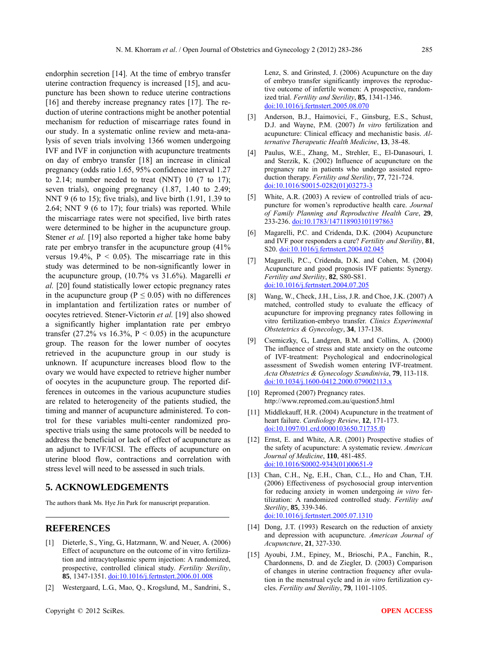endorphin secretion [14]. At the time of embryo transfer uterine contraction frequency is increased [15], and acupuncture has been shown to reduce uterine contractions [16] and thereby increase pregnancy rates [17]. The reduction of uterine contractions might be another potential mechanism for reduction of miscarriage rates found in our study. In a systematic online review and meta-analysis of seven trials involving 1366 women undergoing IVF and IVF in conjunction with acupuncture treatments on day of embryo transfer [18] an increase in clinical pregnancy (odds ratio 1.65, 95% confidence interval 1.27 to 2.14; number needed to treat (NNT) 10  $(7 \text{ to } 17)$ ; seven trials), ongoing pregnancy  $(1.87, 1.40$  to  $2.49$ ; NNT 9 (6 to 15); five trials), and live birth (1.91, 1.39 to 2.64; NNT 9 (6 to 17); four trials) was reported. While the miscarriage rates were not specified, live birth rates were determined to be higher in the acupuncture group. Stener *et al.* [19] also reported a higher take home baby rate per embryo transfer in the acupuncture group (41% versus  $19.4\%$ ,  $P < 0.05$ ). The miscarriage rate in this study was determined to be non-significantly lower in the acupuncture group, (10.7% vs 31.6%). Magarelli *et al.* [20] found statistically lower ectopic pregnancy rates in the acupuncture group ( $P \le 0.05$ ) with no differences in implantation and fertilization rates or number of oocytes retrieved. Stener-Victorin *et al.* [19] also showed a significantly higher implantation rate per embryo transfer (27.2% vs 16.3%,  $P < 0.05$ ) in the acupuncture group. The reason for the lower number of oocytes retrieved in the acupuncture group in our study is unknown. If acupuncture increases blood flow to the ovary we would have expected to retrieve higher number of oocytes in the acupuncture group. The reported differences in outcomes in the various acupuncture studies are related to heterogeneity of the patients studied, the timing and manner of acupuncture administered. To control for these variables multi-center randomized prospective trials using the same protocols will be needed to address the beneficial or lack of effect of acupuncture as an adjunct to IVF/ICSI. The effects of acupuncture on uterine blood flow, contractions and correlation with stress level will need to be assessed in such trials.

#### **5. ACKNOWLEDGEMENTS**

The authors thank Ms. Hye Jin Park for manuscript preparation.

#### **REFERENCES**

- [1] Dieterle, S., Ying, G., Hatzmann, W. and Neuer, A. (2006) Effect of acupuncture on the outcome of in vitro fertilization and intracytoplasmic sperm injection: A randomized, prospective, controlled clinical study. *Fertility Sterility*, **85**, 1347-1351. [doi:10.1016/j.fertnstert.2006.01.008](http://dx.doi.org/10.1016/j.fertnstert.2006.01.008)
- [2] Westergaard, L.G., Mao, Q., Krogslund, M., Sandrini, S.,

Lenz, S. and Grinsted, J. (2006) Acupuncture on the day of embryo transfer significantly improves the reproductive outcome of infertile women: A prospective, randomized trial. *Fertility and Sterility*, **85**, 1341-1346. [doi:10.1016/j.fertnstert.2005.08.070](http://dx.doi.org/10.1016/j.fertnstert.2005.08.070)

- [3] Anderson, B.J., Haimovici, F., Ginsburg, E.S., Schust, D.J. and Wayne, P.M. (2007) *In vitro* fertilization and acupuncture: Clinical efficacy and mechanistic basis. *Alternative Therapeutic Health Medicine*, **13**, 38-48.
- [4] Paulus, W.E., Zhang, M., Strehler, E., El-Danasouri, I. and Sterzik, K. (2002) Influence of acupuncture on the pregnancy rate in patients who undergo assisted reproduction therapy. *Fertility and Sterility*, **77**, 721-724. [doi:10.1016/S0015-0282\(01\)03273-3](http://dx.doi.org/10.1016/S0015-0282(01)03273-3)
- [5] White, A.R. (2003) A review of controlled trials of acupuncture for women's reproductive health care. *Journal of Family Planning and Reproductive Health Care*, **29**, 233-236. [doi:10.1783/147118903101197863](http://dx.doi.org/10.1783/147118903101197863)
- [6] Magarelli, P.C. and Cridenda, D.K. (2004) Acupuncture and IVF poor responders a cure? *Fertility and Sterility*, **81**, S20. [doi:10.1016/j.fertnstert.2004.02.045](http://dx.doi.org/10.1016/j.fertnstert.2004.02.045)
- [7] Magarelli, P.C., Cridenda, D.K. and Cohen, M. (2004) Acupuncture and good prognosis IVF patients: Synergy. *Fertility and Sterility*, **82**, S80-S81. [doi:10.1016/j.fertnstert.2004.07.205](http://dx.doi.org/10.1016/j.fertnstert.2004.07.205)
- [8] Wang, W., Check, J.H., Liss, J.R. and Choe, J.K. (2007) A matched, controlled study to evaluate the efficacy of acupuncture for improving pregnancy rates following in vitro fertilization-embryo transfer. *Clinics Experimental Obstetetrics & Gynecology*, **34**, 137-138.
- [9] Csemiczky, G., Landgren, B.M. and Collins, A. (2000) The influence of stress and state anxiety on the outcome of IVF-treatment: Psychological and endocrinological assessment of Swedish women entering IVF-treatment. *Acta Obstetrics & Gynecology Scandinivia*, **79**, 113-118. [doi:10.1034/j.1600-0412.2000.079002113.x](http://dx.doi.org/10.1034/j.1600-0412.2000.079002113.x)
- [10] Repromed (2007) Pregnancy rates. http://www.repromed.com.au/question5.html
- [11] Middlekauff, H.R. (2004) Acupuncture in the treatment of heart failure. *Cardiology Review*, **12**, 171-173. [doi:10.1097/01.crd.0000103650.71735.f0](http://dx.doi.org/10.1097/01.crd.0000103650.71735.f0)
- [12] Ernst, E. and White, A.R. (2001) Prospective studies of the safety of acupuncture: A systematic review. *American Journal of Medicine*, **110**, 481-485. [doi:10.1016/S0002-9343\(01\)00651-9](http://dx.doi.org/10.1016/S0002-9343(01)00651-9)
- [13] Chan, C.H., Ng, E.H., Chan, C.L., Ho and Chan, T.H. (2006) Effectiveness of psychosocial group intervention for reducing anxiety in women undergoing *in vitro* fertilization: A randomized controlled study. *Fertility and Sterility*, **85**, 339-346. [doi:10.1016/j.fertnstert.2005.07.1310](http://dx.doi.org/10.1016/j.fertnstert.2005.07.1310)
- [14] Dong, J.T. (1993) Research on the reduction of anxiety and depression with acupuncture. *American Journal of Acupuncture*, **21**, 327-330.
- [15] Ayoubi, J.M., Epiney, M., Brioschi, P.A., Fanchin, R., Chardonnens, D. and de Ziegler, D. (2003) Comparison of changes in uterine contraction frequency after ovulation in the menstrual cycle and in *in vitro* fertilization cycles. *Fertility and Sterility*, **79**, 1101-1105.